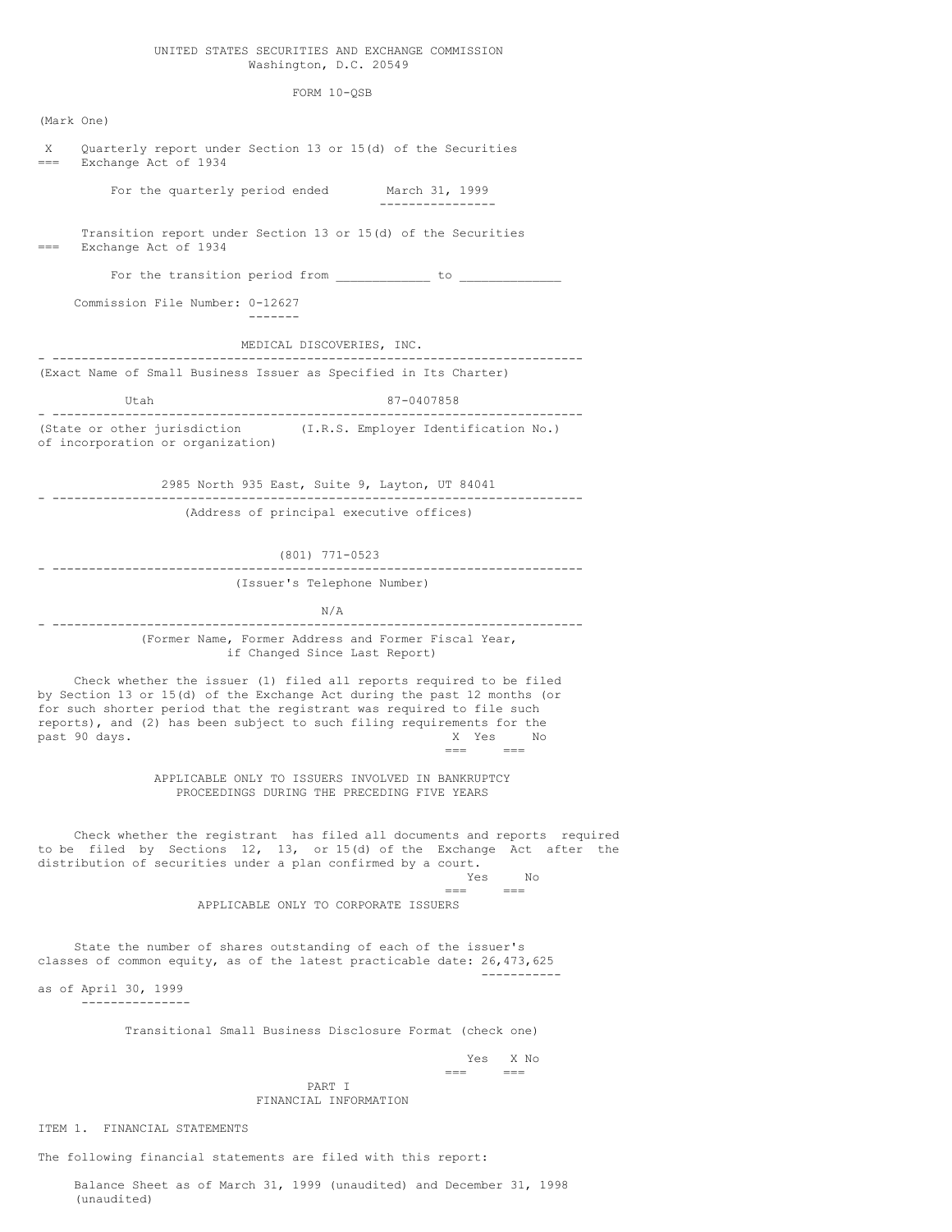### UNITED STATES SECURITIES AND EXCHANGE COMMISSION Washington, D.C. 20549

FORM 10-QSB

(Mark One) X Quarterly report under Section 13 or 15(d) of the Securities Exchange Act of 1934 For the quarterly period ended March 31, 1999 ---------------- Transition report under Section 13 or 15(d) of the Securities Exchange Act of 1934 For the transition period from \_\_\_\_\_\_\_\_\_\_\_\_\_ to \_\_\_\_\_\_\_\_\_\_\_\_\_\_ Commission File Number: 0-12627 ------- MEDICAL DISCOVERIES, INC. - ------------------------------------------------------------------------- (Exact Name of Small Business Issuer as Specified in Its Charter) Utah 87-0407858 - ------------------------------------------------------------------------- (State or other jurisdiction (I.R.S. Employer Identification No.) of incorporation or organization) 2985 North 935 East, Suite 9, Layton, UT 84041 - ------------------------------------------------------------------------- (Address of principal executive offices) (801) 771-0523 - ------------------------------------------------------------------------- (Issuer's Telephone Number) N/A - ------------------------------------------------------------------------- (Former Name, Former Address and Former Fiscal Year, if Changed Since Last Report) Check whether the issuer (1) filed all reports required to be filed by Section 13 or 15(d) of the Exchange Act during the past 12 months (or for such shorter period that the registrant was required to file such reports), and (2) has been subject to such filing requirements for the past 90 days.  $x$  Yes No past 90 days. Notice that the set of the set of the set of the set of the set of the set of the set of the set of the set of the set of the set of the set of the set of the set of the set of the set of the set of the set o  $=$ APPLICABLE ONLY TO ISSUERS INVOLVED IN BANKRUPTCY PROCEEDINGS DURING THE PRECEDING FIVE YEARS Check whether the registrant has filed all documents and reports required to be filed by Sections 12, 13, or 15(d) of the Exchange Act after the distribution of securities under a plan confirmed by a court. Yes No  $=$ APPLICABLE ONLY TO CORPORATE ISSUERS State the number of shares outstanding of each of the issuer's classes of common equity, as of the latest practicable date: 26,473,625 ---------- as of April 30, 1999 --------------- Transitional Small Business Disclosure Format (check one) Yes X No  $=$ PART I FINANCIAL INFORMATION ITEM 1. FINANCIAL STATEMENTS The following financial statements are filed with this report:

Balance Sheet as of March 31, 1999 (unaudited) and December 31, 1998 (unaudited)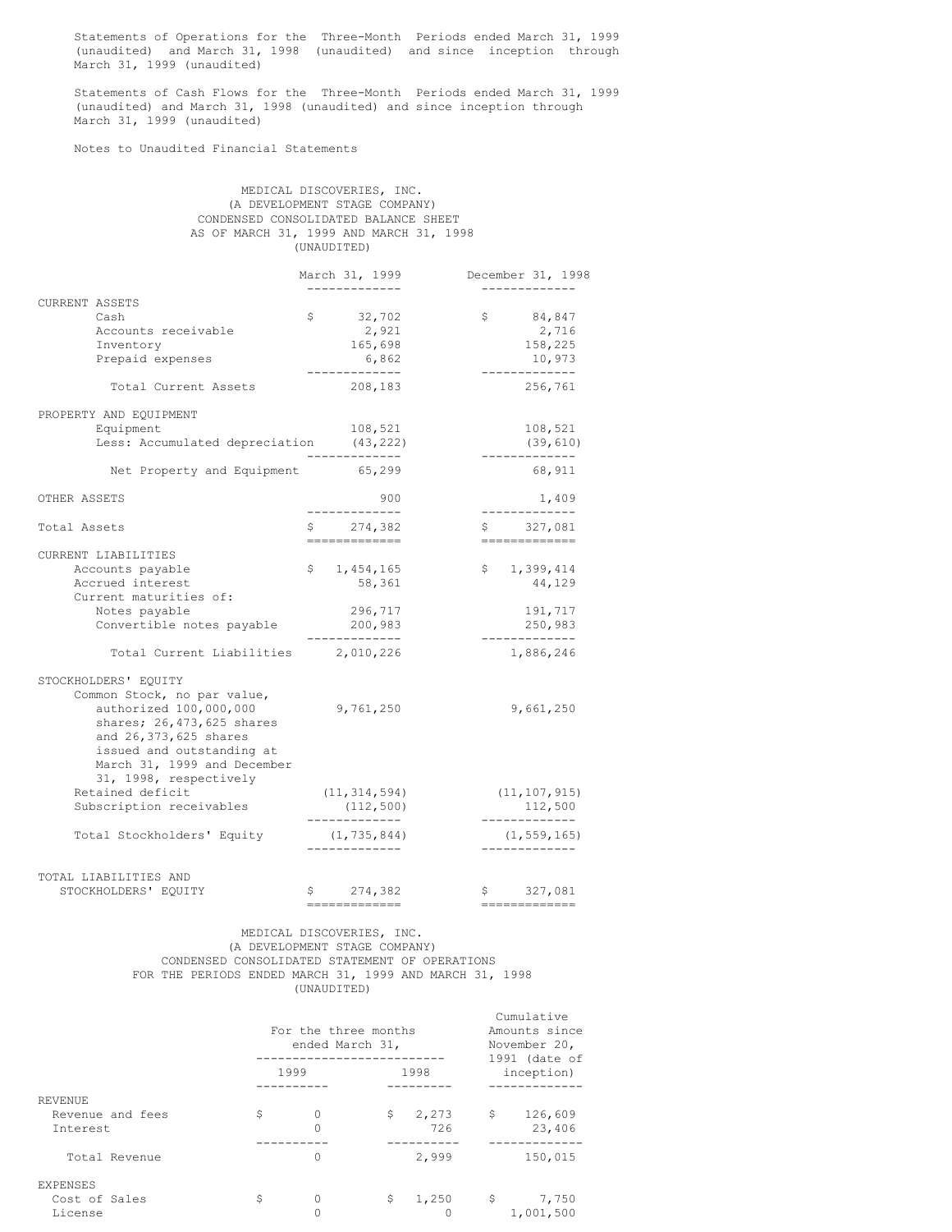Statements of Operations for the Three-Month Periods ended March 31, 1999 (unaudited) and March 31, 1998 (unaudited) and since inception through March 31, 1999 (unaudited)

Statements of Cash Flows for the Three-Month Periods ended March 31, 1999 (unaudited) and March 31, 1998 (unaudited) and since inception through March 31, 1999 (unaudited)

Notes to Unaudited Financial Statements

## MEDICAL DISCOVERIES, INC. (A DEVELOPMENT STAGE COMPANY) CONDENSED CONSOLIDATED BALANCE SHEET AS OF MARCH 31, 1999 AND MARCH 31, 1998 (UNAUDITED)

|                                                                                                                                                                         | March 31, 1999              |                                        | December 31, 1998          |
|-------------------------------------------------------------------------------------------------------------------------------------------------------------------------|-----------------------------|----------------------------------------|----------------------------|
|                                                                                                                                                                         |                             |                                        |                            |
| <b>CURRENT ASSETS</b><br>Cash                                                                                                                                           | \$32,702                    | \$                                     | 84,847                     |
| Accounts receivable                                                                                                                                                     | 2,921                       |                                        | 2,716                      |
| Inventory                                                                                                                                                               | 165,698                     |                                        | 158,225                    |
| Prepaid expenses                                                                                                                                                        | 6,862                       |                                        | 10,973                     |
| Total Current Assets                                                                                                                                                    | -------------<br>208,183    |                                        | -------------<br>256,761   |
| PROPERTY AND EQUIPMENT                                                                                                                                                  |                             |                                        |                            |
| Equipment                                                                                                                                                               | 108,521                     |                                        | 108,521                    |
| Less: Accumulated depreciation (43,222)                                                                                                                                 |                             |                                        | (39, 610)<br>------------- |
| Net Property and Equipment                                                                                                                                              | 65,299                      |                                        | 68,911                     |
| OTHER ASSETS                                                                                                                                                            | 900<br>-------------        |                                        | 1,409<br>-------------     |
| Total Assets                                                                                                                                                            | \$274,382<br>=============  |                                        | \$327,081<br>_____________ |
| CURRENT LIABILITIES                                                                                                                                                     |                             |                                        |                            |
| Accounts payable                                                                                                                                                        | \$1,454,165                 |                                        | \$1,399,414                |
| Accrued interest                                                                                                                                                        | 58,361                      |                                        | 44,129                     |
| Current maturities of:                                                                                                                                                  |                             |                                        |                            |
| Notes payable                                                                                                                                                           | 296,717                     |                                        | 191,717                    |
| Convertible notes payable                                                                                                                                               | 200,983<br>.                |                                        | 250,983<br>-------------   |
| Total Current Liabilities                                                                                                                                               | 2,010,226                   |                                        | 1,886,246                  |
| STOCKHOLDERS' EQUITY                                                                                                                                                    |                             |                                        |                            |
| Common Stock, no par value,<br>authorized 100,000,000<br>shares; 26,473,625 shares<br>and 26,373,625 shares<br>issued and outstanding at<br>March 31, 1999 and December | 9,761,250                   |                                        | 9,661,250                  |
| 31, 1998, respectively                                                                                                                                                  |                             |                                        |                            |
| Retained deficit                                                                                                                                                        | (11, 314, 594)              |                                        | (11, 107, 915)             |
| Subscription receivables                                                                                                                                                | (112, 500)<br>_____________ |                                        | 112,500<br>-------------   |
| Total Stockholders' Equity                                                                                                                                              | (1, 735, 844)               |                                        | (1, 559, 165)              |
|                                                                                                                                                                         |                             |                                        |                            |
| TOTAL LIABILITIES AND<br>STOCKHOLDERS' EQUITY                                                                                                                           | \$274,382                   | $\mathsf{S}$ . The set of $\mathsf{S}$ | 327,081                    |
|                                                                                                                                                                         | -------------               |                                        | --------------             |

# MEDICAL DISCOVERIES, INC. (A DEVELOPMENT STAGE COMPANY) CONDENSED CONSOLIDATED STATEMENT OF OPERATIONS FOR THE PERIODS ENDED MARCH 31, 1999 AND MARCH 31, 1998 (UNAUDITED)

|                                    | For the three months<br>ended March 31, |          |    |       | Cumulative<br>Amounts since<br>November 20,<br>$1991$ (date of |                    |
|------------------------------------|-----------------------------------------|----------|----|-------|----------------------------------------------------------------|--------------------|
|                                    |                                         | 1999     |    | 1998  |                                                                | inception)         |
| <b>REVENUE</b><br>Revenue and fees | \$                                      |          | \$ | 2,273 | \$.                                                            | 126,609            |
| Interest                           |                                         |          |    | 726   |                                                                | 23,406             |
| Total Revenue                      |                                         | $\Omega$ |    | 2,999 |                                                                | 150,015            |
| <b>EXPENSES</b>                    |                                         |          |    |       |                                                                |                    |
| Cost of Sales<br>License           | \$                                      |          | \$ | 1,250 | $\ddot{S}$                                                     | 7,750<br>1,001,500 |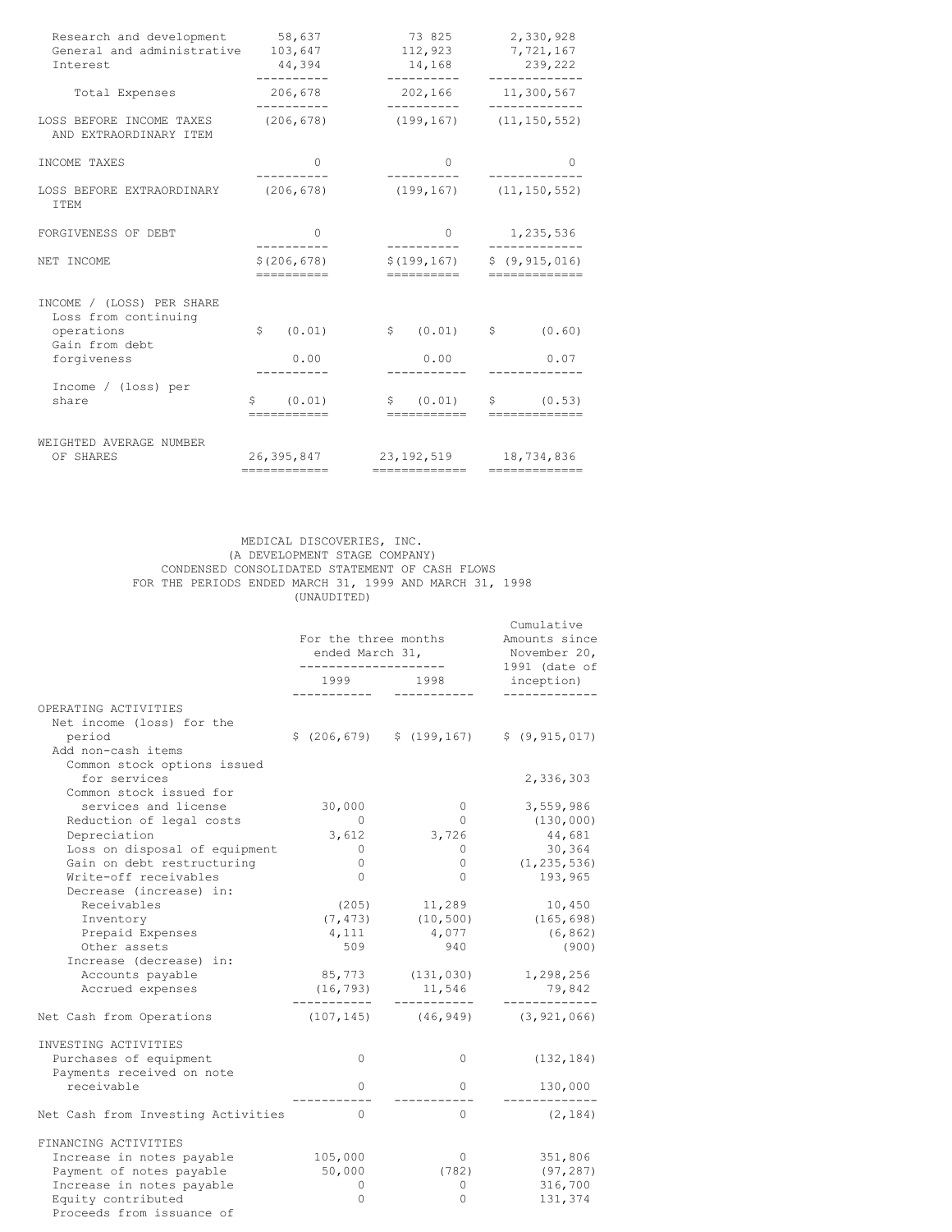| Research and development<br>General and administrative<br>Interest                               | 58,637<br>103,647<br>44,394 | 73 825<br>112,923<br>14,168                | 2,330,928<br>7,721,167<br>239,222      |
|--------------------------------------------------------------------------------------------------|-----------------------------|--------------------------------------------|----------------------------------------|
| Total Expenses                                                                                   | 206,678                     | 202,166<br>_________                       | 11,300,567                             |
| LOSS BEFORE INCOME TAXES<br>AND EXTRAORDINARY ITEM                                               | (206, 678)                  |                                            | $(199, 167)$ $(11, 150, 552)$          |
| INCOME TAXES                                                                                     | 0                           | $\bigcap$                                  | 0                                      |
| LOSS BEFORE EXTRAORDINARY<br>ITEM                                                                | (206, 678)                  |                                            | $(199, 167)$ $(11, 150, 552)$          |
| FORGIVENESS OF DEBT                                                                              | 0                           | $\Omega$                                   | 1,235,536                              |
| NET INCOME                                                                                       | \$(206, 678)<br>----------  | \$(199, 167)<br>==========                 | \$(9, 915, 016)<br>=============       |
| INCOME / (LOSS) PER SHARE<br>Loss from continuing<br>operations<br>Gain from debt<br>forgiveness | Ŝ.<br>(0.01)<br>0.00        | $$ (0.01)$ \$<br>0.00                      | (0.60)<br>0.07                         |
| Income / (loss) per<br>share                                                                     | (0.01)<br>\$                |                                            | $\sin(0.01)$ $\sin(0.53)$<br>--------- |
| WEIGHTED AVERAGE NUMBER<br>OF SHARES                                                             | 26,395,847<br>============  | 23, 192, 519 18, 734, 836<br>------------- | =============                          |

## MEDICAL DISCOVERIES, INC. (A DEVELOPMENT STAGE COMPANY) CONDENSED CONSOLIDATED STATEMENT OF CASH FLOWS FOR THE PERIODS ENDED MARCH 31, 1999 AND MARCH 31, 1998 (UNAUDITED)

|                                                                                                                                                                                                                                                                                                                        | For the three months<br>ended March 31,<br>----------------                                                                                     | Cumulative<br>Amounts since<br>November 20,<br>1991 (date of                                                                           |                                                                                                                                                             |  |
|------------------------------------------------------------------------------------------------------------------------------------------------------------------------------------------------------------------------------------------------------------------------------------------------------------------------|-------------------------------------------------------------------------------------------------------------------------------------------------|----------------------------------------------------------------------------------------------------------------------------------------|-------------------------------------------------------------------------------------------------------------------------------------------------------------|--|
|                                                                                                                                                                                                                                                                                                                        | 1999                                                                                                                                            | 1998                                                                                                                                   | inception)                                                                                                                                                  |  |
| OPERATING ACTIVITIES<br>Net income (loss) for the<br>period<br>Add non-cash items<br>Common stock options issued                                                                                                                                                                                                       |                                                                                                                                                 |                                                                                                                                        | $\frac{1}{2}$ (206,679) $\frac{1}{2}$ (199,167) $\frac{1}{2}$ (9,915,017)                                                                                   |  |
| for services<br>Common stock issued for                                                                                                                                                                                                                                                                                |                                                                                                                                                 |                                                                                                                                        | 2,336,303                                                                                                                                                   |  |
| services and license<br>Reduction of legal costs<br>Depreciation<br>Loss on disposal of equipment<br>Gain on debt restructuring<br>Write-off receivables<br>Decrease (increase) in:<br>Receivables<br>Inventory<br>Prepaid Expenses<br>Other assets<br>Increase (decrease) in:<br>Accounts payable<br>Accrued expenses | 30,000<br>$\overline{0}$<br>3,612<br>$\overline{0}$<br>0<br>$\Omega$<br>(205)<br>(7, 473)<br>4,111<br>509<br>85,773<br>(16, 793)<br>----------- | $\circ$<br>$\circ$<br>3,726<br>$\circ$<br>0<br>$\Omega$<br>11,289<br>(10, 500)<br>4,077<br>940<br>(131, 030)<br>11,546<br>------------ | 3,559,986<br>(130, 000)<br>44,681<br>30,364<br>(1, 235, 536)<br>193,965<br>10,450<br>(165, 698)<br>(6, 862)<br>(900)<br>1,298,256<br>79,842<br>------------ |  |
| Net Cash from Operations                                                                                                                                                                                                                                                                                               | (107, 145)                                                                                                                                      | (46, 949)                                                                                                                              | (3, 921, 066)                                                                                                                                               |  |
| INVESTING ACTIVITIES<br>Purchases of equipment<br>Payments received on note<br>receivable                                                                                                                                                                                                                              | $\Omega$<br>$\Omega$                                                                                                                            | $\mathbf{0}$<br>0                                                                                                                      | (132, 184)<br>130,000                                                                                                                                       |  |
| Net Cash from Investing Activities                                                                                                                                                                                                                                                                                     | 0                                                                                                                                               | $\circ$                                                                                                                                | (2, 184)                                                                                                                                                    |  |
| FINANCING ACTIVITIES<br>Increase in notes payable<br>Payment of notes payable<br>Increase in notes payable<br>Equity contributed<br>Proceeds from issuance of                                                                                                                                                          | 105,000<br>50,000<br>0<br>$\Omega$                                                                                                              | $\circ$<br>(782)<br>0<br>$\Omega$                                                                                                      | 351,806<br>(97, 287)<br>316,700<br>131,374                                                                                                                  |  |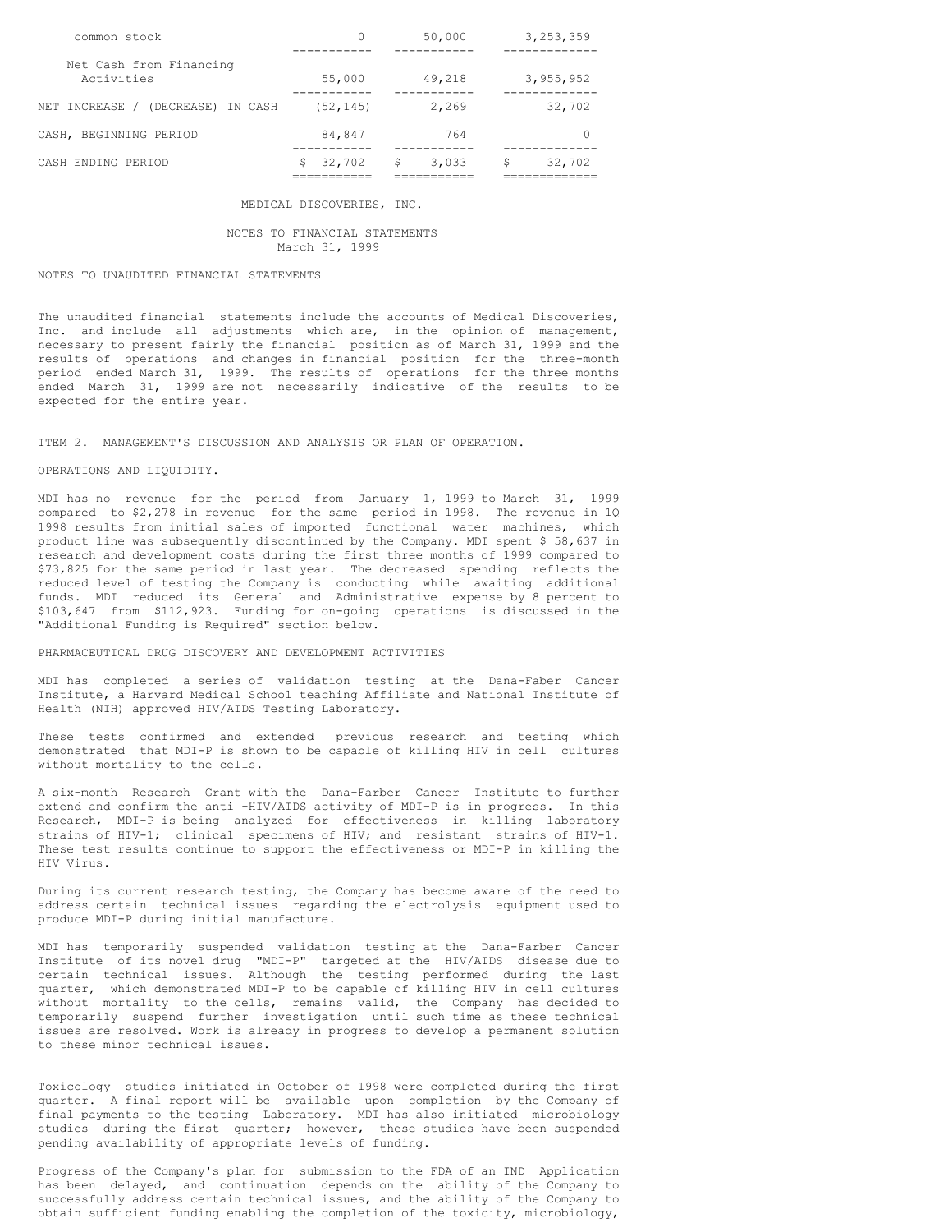| common stock                            | 0         | 50,000      | 3,253,359   |
|-----------------------------------------|-----------|-------------|-------------|
| Net Cash from Financing                 |           |             |             |
| Activities                              | 55,000    | 49,218      | 3,955,952   |
| (DECREASE)<br>NET INCREASE /<br>IN CASH | (52, 145) | 2,269       | 32,702      |
| CASH, BEGINNING PERIOD                  | 84,847    | 764         | O           |
| CASH ENDING PERIOD                      | 32,702    | \$<br>3,033 | 32,702<br>Ŝ |

### MEDICAL DISCOVERIES, INC.

### NOTES TO FINANCIAL STATEMENTS March 31, 1999

## NOTES TO UNAUDITED FINANCIAL STATEMENTS

The unaudited financial statements include the accounts of Medical Discoveries, Inc. and include all adjustments which are, in the opinion of management, necessary to present fairly the financial position as of March 31, 1999 and the results of operations and changes in financial position for the three-month period ended March 31, 1999. The results of operations for the three months ended March 31, 1999 are not necessarily indicative of the results to be expected for the entire year.

## ITEM 2. MANAGEMENT'S DISCUSSION AND ANALYSIS OR PLAN OF OPERATION.

#### OPERATIONS AND LIQUIDITY.

MDI has no revenue for the period from January 1, 1999 to March 31, 1999 compared to \$2,278 in revenue for the same period in 1998. The revenue in 1Q 1998 results from initial sales of imported functional water machines, which product line was subsequently discontinued by the Company. MDI spent \$ 58,637 in research and development costs during the first three months of 1999 compared to \$73,825 for the same period in last year. The decreased spending reflects the reduced level of testing the Company is conducting while awaiting additional funds. MDI reduced its General and Administrative expense by 8 percent to \$103,647 from \$112,923. Funding for on-going operations is discussed in the "Additional Funding is Required" section below.

### PHARMACEUTICAL DRUG DISCOVERY AND DEVELOPMENT ACTIVITIES

MDI has completed a series of validation testing at the Dana-Faber Cancer Institute, a Harvard Medical School teaching Affiliate and National Institute of Health (NIH) approved HIV/AIDS Testing Laboratory.

These tests confirmed and extended previous research and testing which demonstrated that MDI-P is shown to be capable of killing HIV in cell cultures without mortality to the cells.

A six-month Research Grant with the Dana-Farber Cancer Institute to further extend and confirm the anti -HIV/AIDS activity of MDI-P is in progress. In this Research, MDI-P is being analyzed for effectiveness in killing laboratory strains of HIV-1; clinical specimens of HIV; and resistant strains of HIV-1. These test results continue to support the effectiveness or MDI-P in killing the HIV Virus.

During its current research testing, the Company has become aware of the need to address certain technical issues regarding the electrolysis equipment used to produce MDI-P during initial manufacture.

MDI has temporarily suspended validation testing at the Dana-Farber Cancer Institute of its novel drug "MDI-P" targeted at the HIV/AIDS disease due to certain technical issues. Although the testing performed during the last quarter, which demonstrated MDI-P to be capable of killing HIV in cell cultures without mortality to the cells, remains valid, the Company has decided to temporarily suspend further investigation until such time as these technical issues are resolved. Work is already in progress to develop a permanent solution to these minor technical issues.

Toxicology studies initiated in October of 1998 were completed during the first quarter. A final report will be available upon completion by the Company of final payments to the testing Laboratory. MDI has also initiated microbiology studies during the first quarter; however, these studies have been suspended pending availability of appropriate levels of funding.

Progress of the Company's plan for submission to the FDA of an IND Application has been delayed, and continuation depends on the ability of the Company to successfully address certain technical issues, and the ability of the Company to obtain sufficient funding enabling the completion of the toxicity, microbiology,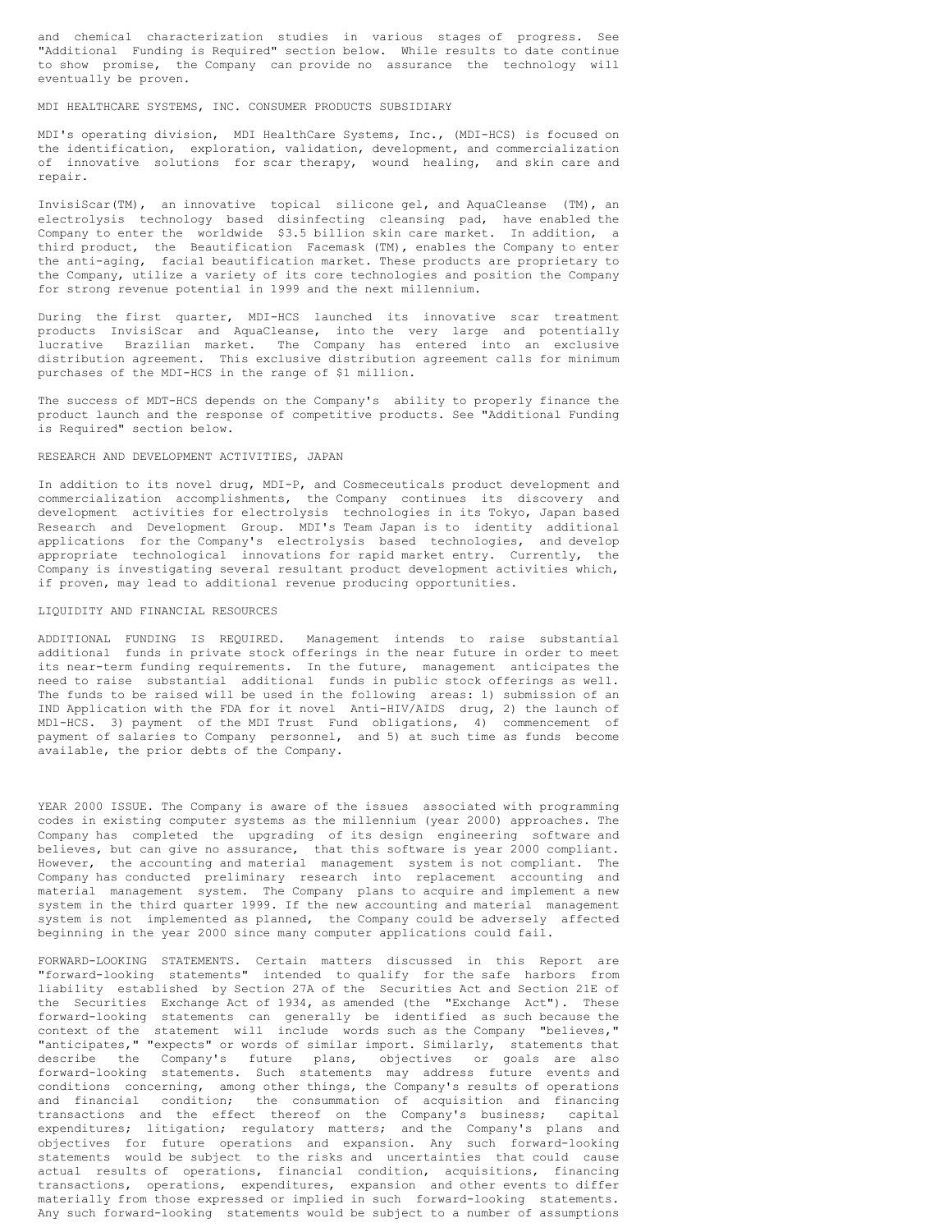and chemical characterization studies in various stages of progress. See "Additional Funding is Required" section below. While results to date continue to show promise, the Company can provide no assurance the technology will eventually be proven.

## MDI HEALTHCARE SYSTEMS, INC. CONSUMER PRODUCTS SUBSIDIARY

MDI's operating division, MDI HealthCare Systems, Inc., (MDI-HCS) is focused on the identification, exploration, validation, development, and commercialization of innovative solutions for scar therapy, wound healing, and skin care and repair.

InvisiScar(TM), an innovative topical silicone gel, and AquaCleanse (TM), an electrolysis technology based disinfecting cleansing pad, have enabled the Company to enter the worldwide \$3.5 billion skin care market. In addition, a third product, the Beautification Facemask (TM), enables the Company to enter the anti-aging, facial beautification market. These products are proprietary to the Company, utilize a variety of its core technologies and position the Company for strong revenue potential in 1999 and the next millennium.

During the first quarter, MDI-HCS launched its innovative scar treatment products InvisiScar and AquaCleanse, into the very large and potentially lucrative Brazilian market. The Company has entered into an exclusive distribution agreement. This exclusive distribution agreement calls for minimum purchases of the MDI-HCS in the range of \$1 million.

The success of MDT-HCS depends on the Company's ability to properly finance the product launch and the response of competitive products. See "Additional Funding is Required" section below.

## RESEARCH AND DEVELOPMENT ACTIVITIES, JAPAN

In addition to its novel drug, MDI-P, and Cosmeceuticals product development and commercialization accomplishments, the Company continues its discovery and development activities for electrolysis technologies in its Tokyo, Japan based Research and Development Group. MDI's Team Japan is to identity additional applications for the Company's electrolysis based technologies, and develop appropriate technological innovations for rapid market entry. Currently, the Company is investigating several resultant product development activities which, if proven, may lead to additional revenue producing opportunities.

#### LIQUIDITY AND FINANCIAL RESOURCES

ADDITIONAL FUNDING IS REQUIRED. Management intends to raise substantial additional funds in private stock offerings in the near future in order to meet its near-term funding requirements. In the future, management anticipates the need to raise substantial additional funds in public stock offerings as well. The funds to be raised will be used in the following areas: 1) submission of an IND Application with the FDA for it novel Anti-HIV/AIDS drug, 2) the launch of MDl-HCS. 3) payment of the MDI Trust Fund obligations, 4) commencement of payment of salaries to Company personnel, and 5) at such time as funds become available, the prior debts of the Company.

YEAR 2000 ISSUE. The Company is aware of the issues associated with programming codes in existing computer systems as the millennium (year 2000) approaches. The Company has completed the upgrading of its design engineering software and believes, but can give no assurance, that this software is year 2000 compliant. However, the accounting and material management system is not compliant. The Company has conducted preliminary research into replacement accounting and material management system. The Company plans to acquire and implement a new system in the third quarter 1999. If the new accounting and material management system is not implemented as planned, the Company could be adversely affected beginning in the year 2000 since many computer applications could fail.

FORWARD-LOOKING STATEMENTS. Certain matters discussed in this Report are "forward-looking statements" intended to qualify for the safe harbors from liability established by Section 27A of the Securities Act and Section 21E of the Securities Exchange Act of 1934, as amended (the "Exchange Act"). These forward-looking statements can generally be identified as such because the context of the statement will include words such as the Company "believes," "anticipates," "expects" or words of similar import. Similarly, statements that describe the Company's future plans, objectives or goals are also forward-looking statements. Such statements may address future events and conditions concerning, among other things, the Company's results of operations and financial condition; the consummation of acquisition and financing transactions and the effect thereof on the Company's business; capital expenditures; litigation; regulatory matters; and the Company's plans and objectives for future operations and expansion. Any such forward-looking statements would be subject to the risks and uncertainties that could cause actual results of operations, financial condition, acquisitions, financing transactions, operations, expenditures, expansion and other events to differ materially from those expressed or implied in such forward-looking statements. Any such forward-looking statements would be subject to a number of assumptions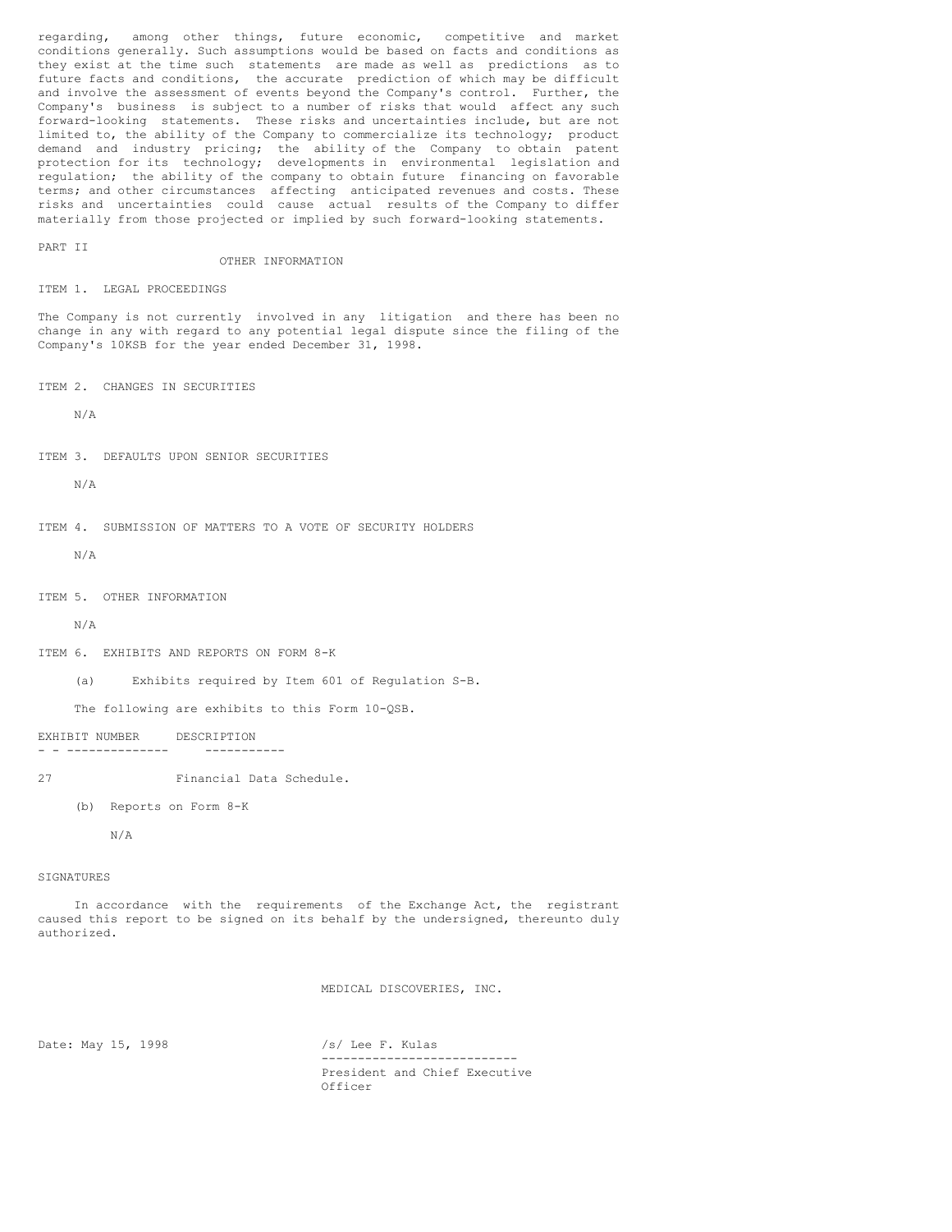regarding, among other things, future economic, competitive and market conditions generally. Such assumptions would be based on facts and conditions as they exist at the time such statements are made as well as predictions as to future facts and conditions, the accurate prediction of which may be difficult and involve the assessment of events beyond the Company's control. Further, the Company's business is subject to a number of risks that would affect any such forward-looking statements. These risks and uncertainties include, but are not limited to, the ability of the Company to commercialize its technology; product demand and industry pricing; the ability of the Company to obtain patent protection for its technology; developments in environmental legislation and regulation; the ability of the company to obtain future financing on favorable terms; and other circumstances affecting anticipated revenues and costs. These risks and uncertainties could cause actual results of the Company to differ materially from those projected or implied by such forward-looking statements.

```
PART II
```
OTHER INFORMATION

# ITEM 1. LEGAL PROCEEDINGS

The Company is not currently involved in any litigation and there has been no change in any with regard to any potential legal dispute since the filing of the Company's 10KSB for the year ended December 31, 1998.

ITEM 2. CHANGES IN SECURITIES

N/A

ITEM 3. DEFAULTS UPON SENIOR SECURITIES

N/A

ITEM 4. SUBMISSION OF MATTERS TO A VOTE OF SECURITY HOLDERS

N/A

ITEM 5. OTHER INFORMATION

N/A

ITEM 6. EXHIBITS AND REPORTS ON FORM 8-K

(a) Exhibits required by Item 601 of Regulation S-B.

The following are exhibits to this Form 10-QSB.

EXHIBIT NUMBER DESCRIPTION - - -------------- -----------

27 Financial Data Schedule.

(b) Reports on Form 8-K

N/A

### SIGNATURES

In accordance with the requirements of the Exchange Act, the registrant caused this report to be signed on its behalf by the undersigned, thereunto duly authorized.

MEDICAL DISCOVERIES, INC.

Date: May 15, 1998 /s/ Lee F. Kulas

--------------------------- President and Chief Executive Officer